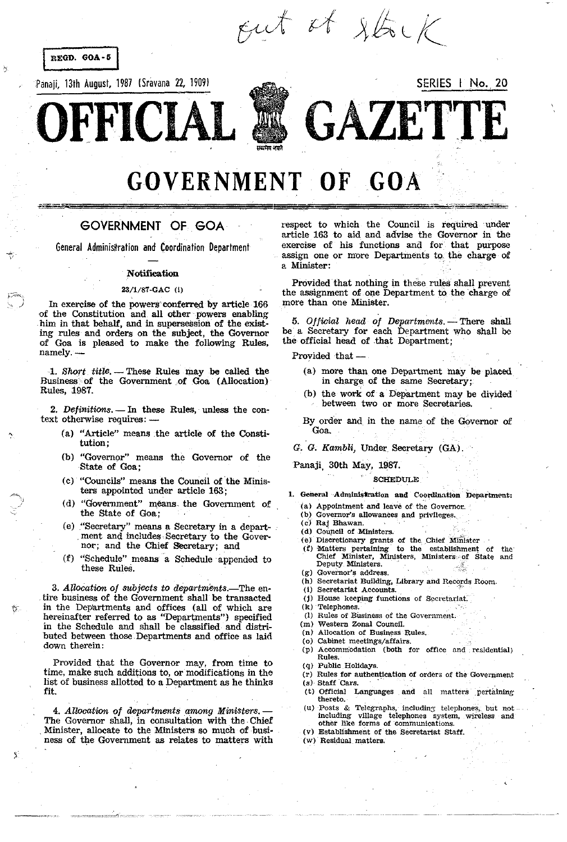

# GOVERNMENT OF GOA

## GOVERNMENT OF GOA

General Administration and Coordination Department

#### **Notification**

### 23/l/87-GAC (i)

In exercise of the powers conferred by article 166 of the Constitution and, all other' powers enabling him in that behalf, and in supersession of the existing rules and orders on the subject, the Governor of Goa is pleased to make the following Rules, namely.-

1. Short title. - These Rules may be called the Business of the Government of Goa (Allocation) Rules, 1987.

2. Definitions. - In these Rules, unless the context otherwise requires: -

Ą

- (a) "Article" means ,the article of the Constitution;
- (b) "Governor" means the Governor of the State of Goa;
- (c) "Councils" means the Council of the Ministers appointed under article 163;
- (d) "Government" means. the Government of the State of Goa;
- (e) "Secretary" means a Secretary in a depart ment and includes Secretary to the Governor; and the Chief Secretary; and
- (f) "Schedule" means a Schedule appended to these RUleS.

3. Allocation of subjects to departments.—The entire business of the Government shall be transacted in the Departments and offices (all of which are hereinafter referred to as "Departments") specified in the Schedule and shall be classified and distributed between those, Departments and office as laid down therein:

Provided that the Governor may, from time to time, make such additions to, or modifications in the list of business allotted to a Department as he thinks fit.

*4. Allocation of departments among Ministers.-* The Governor shall, in consultation with the Chief Minister, allocate to the Ministers so much of business of the Government as relates to matters with respect to which the Council is required under article 163 to aid and advise the Governor in the exercise of his functions and for that purpose assign one or more Departments to the charge of a Minister:

Provided that nothing in these rules shall prevent the assignment of one Depaztment to the charge of more than one Minister.

5. Official head of Departments. - There shall be a Secretary for each Department who shall be the official head of that Department;

Provided that -

- (a) more than one Department may be placed in charge of the same Secretary;
- $(b)$  the work of a Department may be divided between two or more Secretaries.

By order and in the name of the Governor of Goa.

*G. G. Kambli,* Under Secretary (GA).

Panaji, 30th May, 1987.

#### **SCHEDULE**

- 1. General Administration and Coordination Department:
	- (a) Appointment and leave of- the Governor..
	- (b) Governor's allowances and privileges.
	- (CJ Raj Bhawan.
	- (d) Council of Ministers.
	- (e) Discretionary grants of the Chief Minister
	- (f) Matters pertaining' to the establishment of the' Chief Minister, Ministers, Ministers of State and Deputy Ministers.
	- (g) Governor's address.
	- (h) Secretariat BuUding, Library and Records Room.
	- (i) Secretariat Accounts.
	- (j) House keeping functions of Secretariat.
	- (k) Telephones.
	- (1) Rules of Business of the Government.
	- (m) Western Zonal Council.
	- (n) Allocation of Business Rules.
	- (0) Cabinet meetings/affairs.
	- (p) Accommodation (both for office and residential) Rules.

(q) Public Holidays.

- (r) Rules for authentication of orders of the Government  $(s)$ . Staff Cars.
- (t) Official Languages and all matters pertaining thereto.
- (u) Posts & Telegraphs, including telephones, but not including vlllage telephones system, wireless and other like forms of communications.
- (v) Establishment of the Secretariat Staff.
- (w) Residual matters.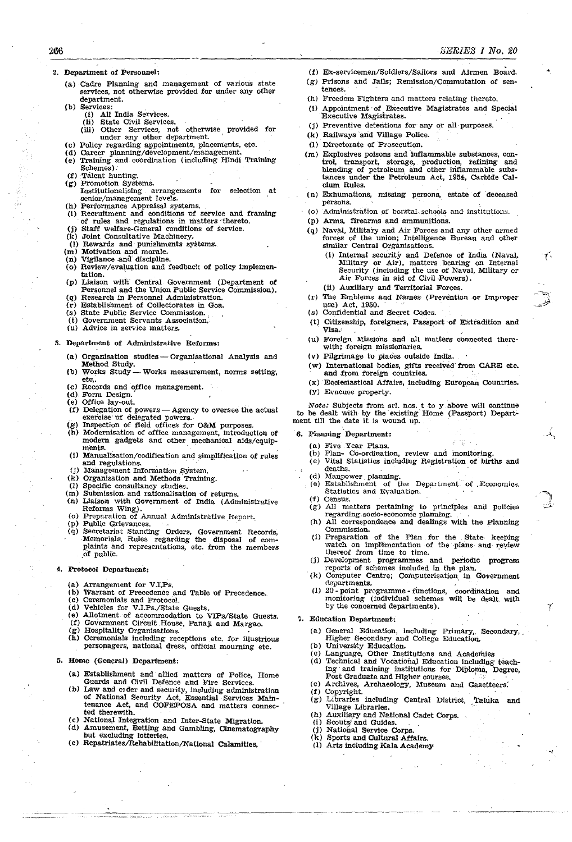- 2. Department of peroonnel:
	- (a) Cadre Planning and management of various state services, not otherwise provided for under any other department.
	- {b) Services:

266

- (I) All India Services.
- (ii) State Civil Services. (ill) Other Services, not otherwise provided for under any other department. '
- (e) Pollcy regarding appointments, placements, etc.
- Cd) Career planning/development/management.
- (e) Training and coordination (including Hindi Training Schemes).
- (f) Talent hunting. Promotion Systems.
- Instltutionalising arrangements for selection at senior/management levels.
- Performance Appraisal systems.
- (1) Recruitment and conditions of service and framing of rules and regulations in matters thereto.
- (j) Staff welfare-General conditions of service.
- (k) Joint Consultative Machinery, (1) Rewards and punishments systems.
- (m) Motivation and morale.
- (n) Vigilance and discipline.
- ( $\alpha$ ) Review/evaluation and feedback of policy implementation.
- (p) Liaison with- Central Government (Department of Personnel and the Union Public Service Commission).
- (q) ReSearch in Personnel Administration. (1') Establishment of Collectorates in Goa.
- 
- (8) State Public Service Commission. (t) Government Servants Association.'.
- (u) Advice in service matters.
- 3. Department of Administrative Reforms:
	- (a) Organisation studies Organisational Analysis and Method Study.<br>Works Study-
	- (b) Works Study Works measurement, norms setting, etc.
	- (c) Records and office management.
	- $(d)$ . Form Design.  $(e)$  Office lay-out.
	- (f) Delegation of powers Agency to oversee the actual exercise of delegated powers.
	- $(g)$  Inspection of field offices for O&M purposes.
	- (h) Modernisation of office management, introduction of modern gadgets and other mechanical aids/equip-<br>ments.
	- (1) Manualisation/codification and simplification of rules and regulations.
	- (j) Management Information System.
	- (k) Organisation and Methods "Training.
	- (1) Specific consultancy studies.
	- (m) Submission\_ and rationalisation of returns. (n) Liaison with Government of India (Administrative Reforms Wing).
	- (o) Preparation of Annual Administrative Report. (p) Public Grievances.
	-
	- (q) Secretariat Standing Orders, Government Records, Memorials, Rules regarding the disposal of complaints and representations, etc. from the members of public.

#### 4. Protocol Department:

- (a) Arrangement for V.I.Ps.
- (b) Warrant of Precedence and Table of Precedence.
- (c) Ceremonials and Protocol.
- (d) Vehicles for V.I.Ps./State Guests.
- (e) Allotment, of accommodation to VIPs/State Guests,
- (f) Government Circuit House, Panaji and Margao. (g) Hospitality Organisations.
- (h) Ceremonials including receptions \_ etc. for illustrious  $personagers,$  national dress, official mourning etc.
- 5. Home (General) Department:
	- (a) Establishment and allied matters of Police, Home Guards and Civil Defence and Fire Services.
	- (b) Law and CIder and security, including administration of National Security Act, Essential Services Maintenance Act, and COFEPOSA and matters connec-<br>ted therewith.
	- (c) National Integration and Inter-State Migration. (d) Amusement, Betting and Gambling, Cinematography
	- but excluding lotteries.<br>(e) Repatriates/Rehabilitation/National Calamities.
	-
- (f) Ex·servicemen/Soldiers/Sailors and Airmen Board.
- $(g)$  Prisons and Jails; Remission/Commutation of sentences ..
- (h) Freedom Fighters and matters relating thereto.
- (0 Appointment· of EXecutive Magistrates and Special Executive Magistrates. .
- (j) Preventive detentions for- any or aU-purposes.
- (k) Railways 'arid Village Police.
- 
- (1) Directorate of Prosecution.<br>(m) Explosives poisons and inflammable substances, con-(m) Explosives poisons and'infIam'mable substances, con- trol, transport, storage, production, refining and blending of petroleum and other inflammable substances under the Petroleum Act. 1954. Carbide Calcium Rules.
- (n) Exhumations, missing persons, estate of deceased persons.
- (o) Administration of borstal schools and institutions.
- (p) ArmS, firearms and ammunitions.
- (q) Naval, Military and Air Forces and any other armed forces of the union; Intelligence Bureau and other similar Central Organisations.
	- (i) Internal security and Defence of India (Naval, Military or Air), matters bearing on Internal Security (including the use of Naval, Military or Air Forces in aid of Civil Powers).
	- (ii) Auxiliary and Territorial Forces.
- (r) The Emblems and Names (Prevention or Improper use) Act, 1950.
- (s) Confidential and Secret COdes.
- (t) Citizenship, foreigners, Passport of Extradition and Visa.· .
- (u) Foreign MiSSiOns and all matters connected therewith; foreign missionaries.
- (v) Pilgrimage to places outsIde India.
- (w) International bodies, gifts received from CARE etc. and from foreign countries.
- (x) Ecclesiastical Affairs, including European Countries. (y) EvaCUee property.
- 

*Note:* Subjects from srl. nos. t to y above will continue to be dealt with by the existing Home (Passport) Department till the date it is wound up.

#### 6. Planning Department:

- (a) Five Year Plans.
- (b) Plan~ Co-ordination, review and monitoring.
- (c) Vital Statistics includtng Registration of births and deaths.
- (d) Manpower planning.
- (e) Establishment of the Department of Economics. Statistics and Evaluation.<br>(f) Census.

.",  $\mathcal{A}$  ,

- 
- (g) All matters pertaining to principles and policies regarding .socio·economic planning.
- (h) All correspondence and dealings with the Planning Commission.
- (i) Preparation of the Plan for the State keeping watch on implementation of the plans and review thereof from time to time.
- (j) Development programmes and periodic progress reports of schemes included in the plan.
- (k) Computer Centre; Computerisation in Government departments.
- (1)  $20$ -point programme-functions, coordination and monitoring (individual schemes will be dealt with by the concerned departments).
- 7. Education Department:
	- (a) General Education, including Primary, Secondary, Higher Secondary and College Education.
	- (b) University Education.
	- (c) Language, Other Institutions and Acadenues
	- (d) Technical and Vocational Education including teaching 'and training institutions for Diploma, Degree, Post Graduate and Higher courses. . . . . . . . (e) Archives, Archaeology, Museum and Gazetteers.
	- (e) Archives, Archaeology, Museum and Gazetteers.<br>(f) Copyright.
		-
	- (g) Libraries including Central District, Taluka and Village Libraries.
	- (h) Auxiliary and National Cadet Corps.
	- (i) Scouts and Guides.
	- (j) National Service Corps. (k) Sports and Cultural Affairs.

(I) Arts including Kala Academy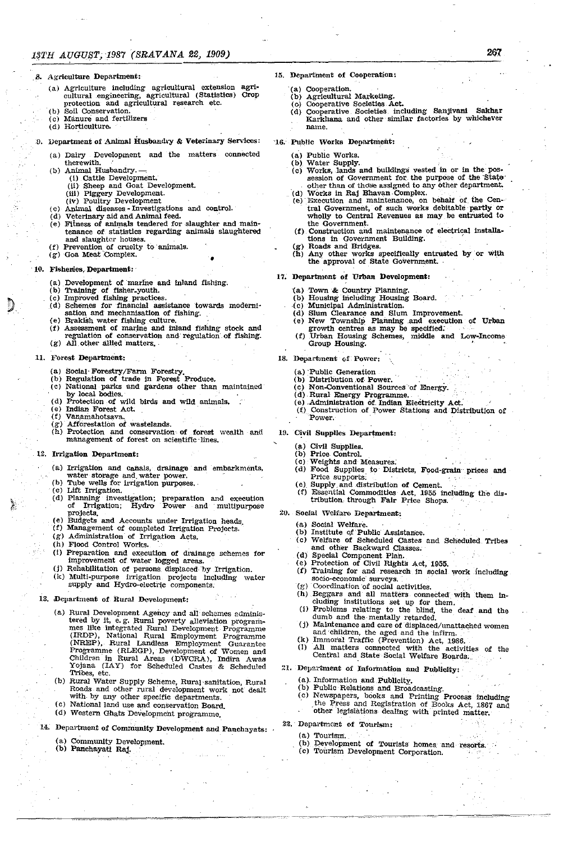.8. Agriculture Department:

- (a) Agriculture including agricultural extension agricultural .engineering, agricultural (Statistics) Crop protection and agricultural research etc.
- (b) Soil Conservation.<br>(c) Manure and fertil
- Manure and fertilizers
- (d) Horticulture.

## 9. Department of Animal Husbandry & Veterinary Services:

- (a) Dairy Development and the matters connected
- therewith,
- (b) Animal Husbandry. —<br>(i) Cattle Development.
	-
	- (ii) Sheep and Goat Development.
	- (iii) Piggery Development.
	- (iV) Poultry Development
- 
- (c) Animal diseases Investigations and **control.**<br>(d) Veterinary aid and Animal feed.<br>(e) Fitness of animals tendered for slaughter and maintenance of statistics regarding animals slaughtered and slaughter houses.<br>
(f) Prevention of cruelty to animals.
- 
- (g) Goa Meat Complex.  $\bullet$

#### 10. Fisheries, Department: .

- (a) Development of marine and inland fishing.
- (b) Training of fisher\_youth.
- (c) Improved fishing practices.
- (d) Schemes for 'financial assistance towards modern!~ sation and mechanisation of fishing.
- {e) Brakish water fishing culture.
- (f) Assessment of marine and inland fishing stock and
- regulation of conservation and regulation of fishing.  $(g)$  All other allied matters.
- 

#### 11. Forest Department:

- (a) Social' Forestry/Fann Forestry.
- (b) Regulation of trade in Forest Produce.
- (c) National parks and gardens other than maintained by local bodies.
- (d) Protection of wild birds and wild animals. (e) Indian Forest Act.
- (f) Vanamahotsaya.
- (g) Afforestation of wastelands.
- (h) Protection and conservation- of forest wealth and management of forest on scientific lines.

## *. 1Z.* Irrigation Department:

- (a) Irrigation and canals, drainage and embarkments, water storage and, water power.
- (b) Tube wells for irrigation purposes.<br>(c) Lift Irrigation.
- 
- (d) Planning investigation; preparation and execution of Irrigation; Hydro Power and multipurpose projects.
- (e) Budgets and Accounts under Irrigation heads,
- (f) Management of completed Irrigation Projects.
- (g) Administration of Irrigation Acts.
- (h) Flood Control Works.
- (1) Preparation and execution of drainage schemes for improvement of water logged areas.
- (j) Rehabilitation of persons displaced by Irrigation.
- (k) Multi-purpose irrigation projects Including water supply and Hydro-electric components.

## 13. Department of Rural Development:

- (a) Rural Development Agency and all schemes administered by it, e.g. Rural poverty alleviation programmes like integrated Rural Development Programme (IRDP), National Rural Employment Programme (NREP), Rural Landless Employment Guarantee Programme (RLEGP), Development of Women and Children in Rural Areas (DWCRA), Indira Awas Yojana (lAY) for Scheduled Castes & Scheduled Tribes, etc.
- (b) Rural Water Supply Scheme, Rural'sanitation, Rural Roads and other rural development work not dealt with by any other specific departments.
- (c) National land use and conservation Board.
- (d) Western Ghats 'Development programme.
- 14. Department of Community Development and Panchayats:
	- (a) Community Development.
	- (b) Panchayati Raj.
- (a) Cooperation.
- $(b)$ Agricultural Marketing.
- $\overline{\text{}}$  (c)
- (d) Cooperative Societies Act.<br>Cooperative Societies including Sanjivani Sakhar Karkhana and other' similar factories by whichever

267

name.

#### 16. Public Works Department:

- (a) Public Works.
- $\overline{b}$ ) Water Supply.<br>(c) Works, lands a (c) Works, lands and buildings vested in or in the possession of Government for the purpose of the State other than of those assigned to any other department.
- (d) Works in Raj Bhavan Complex.<br>(e) Execution and maintenance, on behalf of the Cen-<br>tral Government, of such works debitable partly or tral Government, of such works debitable partly or wholly to Central Revenues as may be entrusted to the Government.
- (f) Construction and maintenance of electrical installations in Government Building.
- (g) Roads and Bridges.<br>(h) Any other works s  $(h)$  Any other works specifically entrusted by or with the approval of State Government.

#### 17. Department of Urban Development:

- (a) Town & Country Planning.
- (b) Housing including Housing Board.
- 
- .( c ) Municipal Administration. (d) Slum Clearance and Slum Improvement.
- (e) New TownShip Planning .and execution of Urban growth centres as may be specified:
- (f) Urban Housing Schemes, middle and Low-Income Group Housing.
- 18. Department of Power:
	-
	-
	- (a) Public Generation<br>
	(b) Distribution of Power.<br>
	(c) Non-Conventional Sources of Energy.
		- (d). Rural Energy Programme.
	- (e) Administration of. Indian EleCtricity Act: (f) Construction of Power Stations and Distribution of Power.

## 19. Civil Supplies Department:

- (a) Civil Supplies.
- (b) Price Control.
- (c) Weights and Measures: (d) Food Supplies to Districts, Food-grain prices and Price supports:
- (e). Supply and distribution of Cement.
- (f) Essential Commodities Act, 1955 including the distribution. through Fair Price Shops.

## *20.* Soclal '\Velfaro Department:

- (a) Social Welfare.
- (b) Institute of Public Assistance.
- (c) Welfare of Scheduled Castes and Scheduled Tribes and other Backward Classes.
- (d) Special Component Plan.
- (e) Protection of Civil Rights Act, 1955. (f) Training for and research in social work including socio-economic' surveys.
- (g) Coordination 'of 30clal activities.
- (h) Beggars and all matters. connected' with them in. cluding institutions set up for them.
- (I) Problems relating to the blind, the deaf and the dumb and the mentally retarded.<br>
(j) Maintenance and care of displaced/unattached women and children, the aged and the infirm.
- 
- (k) Immoral Traffic (Prevention) Act, 1986.
- (1) All matters connected With the activities of the Central and State Social Welfare Boards ..

(c) Newspapers, books and Printing Process ·including the Press and Registration of Books Act, 1867 and other legislations dealing with printed matter.

Development of Tourists homes and resorts.

21. Department of Information and Publicity:

(b) Public Relations and Broadcasting.

(c) Tourism Development Corporation.

(a). Information and Publicity.

22. Department of Tourism:

(a) Tourism.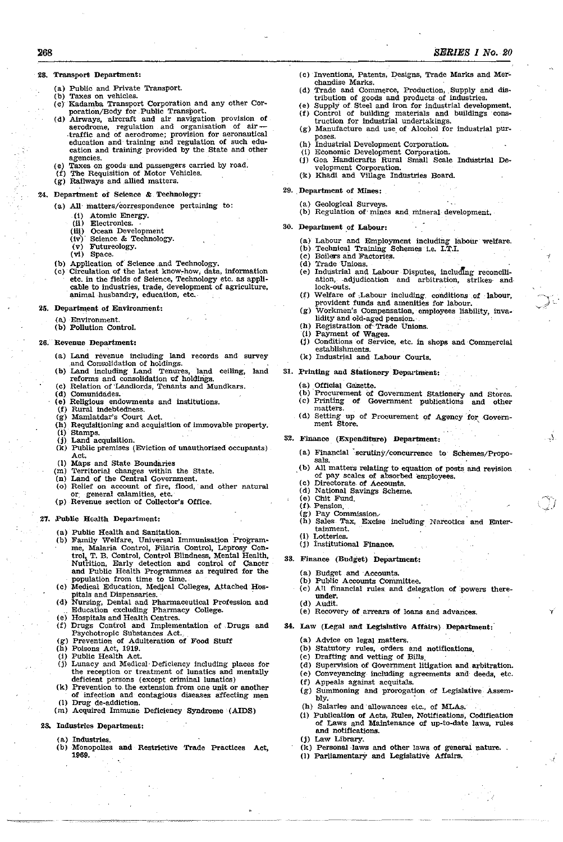## 28. Transport Department:

2&8

- (a) Public and Private Transport.
- (b) Taxes on vehicles. (e)' Kadamha Transport Corporation and any ather Cor~
- poration/Body for Public Transport.
- (d) Airways, aircraft and air navigation provision of aerodrome, regulation and organisation of air traffic and of aerodrome; provision for aeronautical education and- training and regulation of such education and training provided by the State and other agencies.
- (e) Taxes on goods and passengers carried by road. (f) The Requisition of Motor Vehicles.
- 
- (g) Railways and allied matters.
- 24. Department of Science & Teehnology:
	- (a) All matters/correspondence pertaining to:
		- (1) Atomic Energy.
		-
		- (ii) Electronics.<br>
		(iii) Ocean Deve<br>
		(iv) Science & T Ocean Development
		- (iv)' Science & Technology.<br>(v) Futureology. Futureology.
		- (vi) Space.
	- (b) Application of Science and Technology.
	- (c) Circulation of the latest know:-how. data, information etc. in the fields of Science, Technology etc. as appli· cable to industries, trade, development of agriculture, animal husbandry, education, etc.

#### 25. Department of Environment:

- a) Environment
- (b) Pollution Control.

#### 26. Revenue Department:

- (a) Land revenue including land records and survey and Consolidation of holdings.
- (b) Land including Land Tenures, land ceiling, land reforms and consolidation of holdings.
- Relation of Landlords, Tenants and Mundkars.
- (d) Comunidades.
- (e) Religious endowments and institutions.
- (f) Rural Indebtedness. (g) Mamlatdar's Court Act.
- (h) Requisitioning and- acquisition of immovable property. (i) Stamps.
- (j) Land acquisition.
- $(k)$  Public premises (Eviction of unauthorised occupants) Act.
- (I) Maps and State Boundaries
- (m) Territorial changes within the State.
- (n) Land of the Central Government.
- (0) Relief on account of fire, flood, and other natural or, general calamities, etc.
- (p) Revenue section- of Collector's Office.

## 27. Public Health Department:

- (a) Public Health and Sanitation.
- (b) Family Welfare, Universal Immunisation Programme, Malaria Control, Filaria Control, Leprosy Con trol~ T. B. Control, Control Blindness, Mental Health, Nutrition, Early detection and control of cancer and Public Health Progranunes as required for the population from time to time. population from time to time.<br>(c) Medical Education, Medical Colleges, Attached Hos-
- pitals and Dispensaries.
- (d) Nursing, Dental and Pharmaceutical Profession and Education excluding Pharmacy College.
- 
- (e) Hospitals and Health Centres. (f) Drugs Control and Implementation of. Drugs and Psychotropic Substances Act. (g) Prevention of Adulteration of Food Stuff
- (h) Poisons Act, 1919.
- (I) Public Health Act.
- (j) Lunacy and Medical· Deficiency including places for the reception or treatment of lunatics and mentally deficient persons (except criminal lunatics)
- (k) Prevention to the extension from one unit or another of infection and contagious diseases affecting men (1) Drug de-addiction.
- (m) Acquired Immune Deficiency Syndrome (AIDS)

## 23. Industries Department:

- Industries.
- (b) Monopolies and Restrictive Trade Practices Act, 1969.
- (c) Inventions, Patents, Designs, Trade Marks and Merchandise Marks.
- (d) Trade and Commerce, Production, Supply and distribution of goods and products of industries.
- (e) Supply of Steel and iron for industrial development. (f) Control of building materials and buildings construction for industrial undertakingS.
- (g) Manufacture and use of Alcohol for industrial purposes.
- (h) Industrial Development Corporation.
- (i) Economic Development Corporation.
- (j) Goa Handicrafts Rural Small Scale Industrial De-(k) welopment Corporation.<br>
(k) Khadi and Village Industries Board.
- 29. Department of Mines:
	- (a) Geological Surveys.
	- (b) Regulation of mines and mineral development.
- 30. Department of Labour:
	- (a) Labour and Employment including labour welfare.
		- (b) Technical Training Schemes i.e. I.T.I.
	- (c) Boilers and Factories. (d) Trade Unions.
	- (e) Industrial and Labour· Disputes, includIng reconcill~ ation, adjudication and arbitration, strikes and lock-outs.
	- $(f)$  Welfare of Labour including conditions of labour, provident funds and amenities for labour.
	- (g) Workmen's Compensation, employees Uability, inva\_ lidity and old-aged pension.
	- (h) Registration of Trade Unions.
	- (i) Payment of Wages.
	- (j) Conditions of Service, etc. in shops and Commercial establishments.
	- (k) Industrial and Labour Courts.

31. Printing and stationery Department:

- (a.) Official Gazette.
- (b) Procurement of Government Stationery (b) Procurement of Government Stationery and Stores.<br>(c) Printing of Government publications and other and other
- matters.
- (d) Setting up of Procurement of Agency for Government Store.
- 82. Finance (Expenditure) Department:
	- (a) Financial scrutiny/concurrence to Schemes/Propo-<br>sals. sals. . (b) All matters relating to equation of posts and reviSion
	- of pay scales of absorbed employees.

 $-$ J

 $\Delta$ 

- (c) Directorate\_ of Accounts. (d) National Savings Scheme.
- (e) Chit Fund.
- $(f)$  Pension.
- (g) Pay Commission.·
- (h) Sales Tax, Excise including Narcotics and Enter~ tainment.
- (i) Lotteries.
- (j) institutional Finance.
- 88. Finance (Budget) Department:
	- (a) Budget and Acconnts.
	- (b) Public Accounts Committee.<br>(c) All financial rules and dele
	- All financial rules and delegation of powers thereunder.
	- (d) Audit.
	- (e) Recovery of arrears of loans and advances.
- 34. Law (Legal and Legislative Affairs) Department:
	- (8,) Advice on legal.matters.
	- (b) statutory rules, orders and notifications.
	- $(c)$  Drafting and vetting of Bills.

(h) Salaries and allowances etc., of MLAs.

(I) Parliamentary and Legislative Affairs.

- (d) Supervision of Goverpment litigation and arbitration..
- (e) Conveyancing including agreements and· deeds, etc.

(g) Summoning and prorogation of Legislative Assembly.

(1) Publication of Acts, Rules, Notifications, Codification of Laws and Maintenance of up-to-date laws, rules

(k) Personal·laws and other laws. of general nature.

(f) Appeals against acquitaIs.

and notifications. Law Library.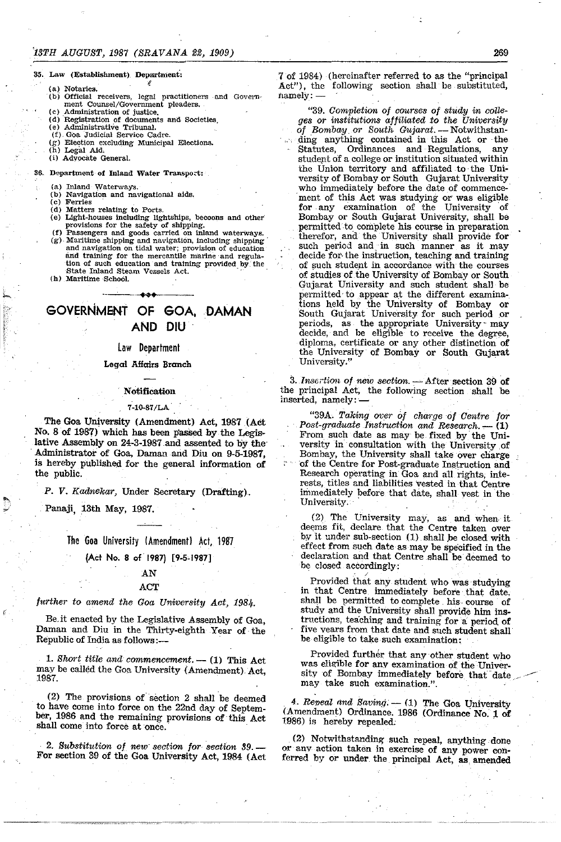#### 35. Law (Establishment). Department:

- (a) Notaries.<br>(b) Official
- "(bj Official receivers, legal practitioners -and Government Counsel/Government pleaders.

f

- (c) Administration of justice.
- (d) "Registration of documents and SOcieties,
- (e) Administrative Tribunal. (f). GOa Judicial Service Cadre.
- 
- (g) Election excluding Municipal Elections.  $(h)$  Legal Aid.
- (i) Advocate General.
- 
- 36. Department of Inland Water Transport:
	- (a) Inland Waterways.
	- (b) Navigation and navigational aids.
	- Ferries
	- (d) Matters relating to Ports.
	- (e) Light-houses including lightships, becoons and other provisions for the safety of shipping.
	- (f) Passengers and goods carried on inland waterWays. (g). Maritime shipping and navigation, including shipping' and navigation on tidal water; provision of education and training for the mercantile marine and regulation of such education and training provided by the State Inland Steam Vessels Act. . (h) Maritime School.
	- ... GOVERNMENT OF GOA, DAMAN AND DIU

## law Department

#### Legal AHairs Branch

#### , Notification

#### 7-10-87/LA'

The Goa University (Amendment) Act, 1987 (Act No. 8 of 1987) which has been passed by the Legislative Assembly on 24-3-1987 and assented to by the' . Administrator of Goa, Daman and Diu on 9-5-1987, is hereby published for the general information of the public.

P. V. Kadnekar, Under Secretary (Drafting).

, Panaji, 13th May, 1987.

The Goa University (Amendment) Act, 1987

## (Act No.8 of 1987) [9-5~1987]

## AN

## ACT

## *jurther to amend the Goa University Aot, 1984.*

Be.it enacted by the Legislative Assembly of Goa, Daman and Diu in the Thirty-eighth Year of the Republic of India as follows:- .

1. *Short title and commencement.* — (1) This Act. may be called the Goa University (Amendment) Act, 1987.

(2) The provisions of section 2 shall be deemed to have come into force on the 22nd day of September, 1986 and the remaining provisions of this Act shall come into force at once.

*2. Substitution of new' section for section* 39.- For section 39 of the Goa University Act, 1984 (Act

7 of 1984) (hereinafter referred to as the "principal Act"), the following section shall be substituted, namely:-

*"39. Completion of oourses oj study in colleges or institutions affiliated to the University*  of Bombay or South Gujarat. - Notwithstanding anything contained in this Act or the Statutes, Ordinances and Regulations, any student of a college or institution situated within the Union territory and affiliated to the University of Bombay or South Gujarat University, who immediately before the date of commence- 'ment of this Act was studying or was eligible for, any examination of the University of Bombay or South Gujarat University, shall be permitted to complete his course in preparation therefor, and the University shall provide for such period and in such manner as it may decide for· the instruction, teaching and training of such student in accordance with the courses of studies of the University of Bombay or South Gujarat University and such student shall be permitted to appear at the different examinations held by the University of Bombay or South Gujarat University for such period or periods, as the appropriate University may decide, and be eligible to receive the degree, diploma, certificate or any other distinction of the University' of Bombay or South Gujarat University/'

3. Insertion of new section. - After section 39 of the principal Act, the following section shall be inserted, namely:

"39A. *Taking over 0/ charge* of *Centre tor*  Post-graduate Instruction and Research. - (1) From such date as may be fixed by the University in' consultation with the University of Bombay, the University shall take over charge of the Centre for Post-graduate Instruction and Research operating in Goa and all rights, interests, titles and liabilities vested in that Centre immediately before that date, shall vest in the University.

(2) The University may, as and when· it deems fit, declare that the Centre taken over by it under sub-section (1) shall be closed with effect from such date as may be specified in the declaration and that Centre shall be deemed to be closed accordingly:

Provided that any student who was studying in that Centre immediately before that date. shall be permitted to complete his, course of study and the University shall provide him instructions, teaching and training for a period of five vears from that date and such student shall be eligible to take such examination:

Provided further that any other student who was eligible for any examination of the University of Bombay immediately before that date may take such examination.".

.-.---"

4. *Repeal and Saving.* - (1) The Goa University (Amendment) Ordinance. 1986 (Ordinance No.1 of 1986) is hereby repealed.

(2) Notwithstanding such repeal, anything done or anv action taken in exercise of any power conferred by or under the principal Act, as amended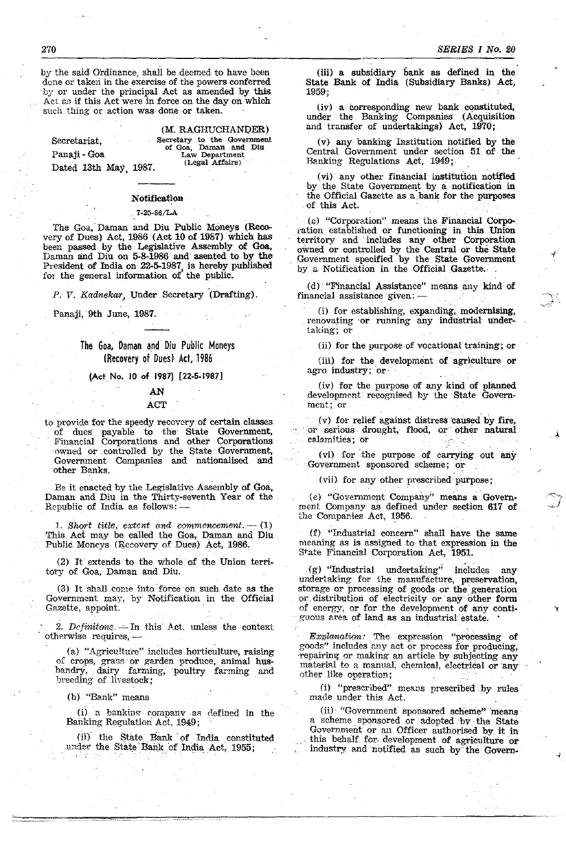by the said Ordinance, shall be deemed to have been done or taken in the exercise of the powers conferred by or under the principal Act as amended by this Act as if this Act were in force on the day on which **such thing or action** was- **done or taken.** 

Secretariat, Panaji-Goa

Dated 13th May, 1987.

# **Notification**

## . 7 -25-86/LA

The Goa, Daman and Diu Public Moneys (Recovery of Dues) Act, 1986 (Act 10 of 1987) which has been passed by the Legislative Assembly of Goa, Daman and Diu on 5-8-1986 and asented to by the President of India on 22-5-1987, is hereby published for the general information of the public.

P. V. Kadnekar, Under Secretary (Drafting).

Panaji, 9th June, 1987.

## The Goa, Daman and Diu Public Moneys (Recovery of Dues) Act, 1986

#### (Act No. 10 of 1987) [22-5-1987]

## AN ACT

to provide for the speedy recoycryof certain classes of dues· payable to the' State Government, Financial Corporations and other Corporations owned or .controlled by the State Government, Government Companies and nationalised and other Banks.

Be it enacted by the Legislative Assembly of Goa, Daman and Diu in the Thirty-seventh Year of the Republic of India as follows: -

1. Short title, extent and commencement. -- (1) This. Act may be called the Goa, Daman and Diu Public Moneys (Recovery of Dues) Act, 1986.

(2) It extends to the whole of the Union territory of Goa, Daman and. Diu.

(3) It shalL come into' force on such date as the Government may, by Notification in the Official Gazette, appoint.

2. Definitons  $-$  In this Act, unless the context otherwise requires, -

(a) "Agriculture" includes horticulture, raising of crops, grass or garden produce, animal husbandrY, dairy farming, poultry farming and breeding of livestock;

 $(b)$  "Bank" means

0)" bankine-' company a~ defined in the Banking Regulation Act, 1949;

(ii) the State Bank of India constituted under the State Bank of India Act, 1955;

(iii) a subsidiary bank as defined in the State Bank of India (Subsidiary Banks) Act, 1959;

(iv) a corresponding new bank constituted, under the Banking Companies (Acquisition and transfer of undertakings) Act, 1970;

(v) any banking Institution notified by the Central Government under section 51 of the Banking Regulations Act, 1949;

(vi) any other financial institution notified by the State Government by a notification in the Official Gazette as a bank for the purposes of this Act.

(e) "Corporation" means the Financial Corporation established or functioning in this Union territory and includes any other Corporation owned or controlled by the Central or the State Government specified by the State Government by a Notification in the Official Gazette.

(d) . "Financial Assistance" means any kind of financial assistance given: -

0) for establishing, expanding, modernising, renovating 'or running any industrial under**taking; or** 

(ii) for the purpose·of vocational training; or

{iii) for the development of agriculture or agro industry; or

(iv) for the purpose of any kind of planned development recognised by the State Government;. **or** 

(v) for relief against distress caused by fire, . or serious drought, flood, or other natural or serious drought, flood, or o<br>calamities; or

(vi) for 'the purpose of carrying out any Government sponsored scheme; or

(vii). for any other prescribed purpose;

(e) "Government Company" means a Government Company as defined under section 617 of the Companies Act, 1956.

(f) "Industrial concern" shall have the same meaning as is assigned to' that expression in the State Financial Corporation Act, 1951.

,(g) "Industrial undertaking'; includes any undertaking for the manufacture, preservation, storage or processing of goods or the' generation or distribution of electricity or any other form of energy, or for the development of any conti guous area of land as an industrial estate.

Explanation: The expression "processing of goods" includes nny act or process for producing, repairing or making an article by subjecting any material to a manual, chemical, electrical or any other like operation;

(i) "prescribed" means prescribed by rules made under this Act,

(ii) "Government sponsored scheme"'means a scheme sponsored or adopted by the State this behalf for development of agriculture or industry and notified as such by the Govern-

**Secretary to the Government of Goa. Daman and Diu Law Department** 

(M. RAGHUCHAN1)ER)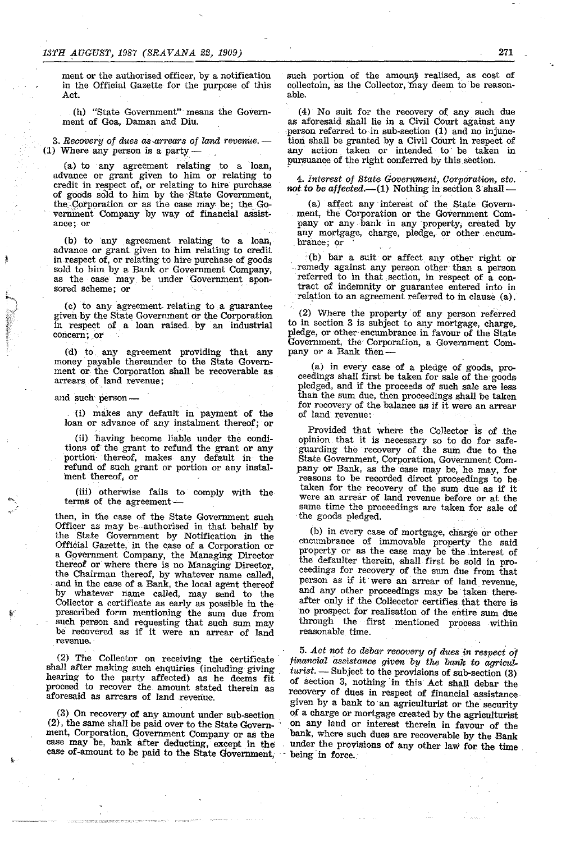ment or the authorised officer, by a notification in the Official Gazette for the purpose of this Act.

(h) "State Government" means the Government of Goa, Daman and Diu.

*3. Recovery* of *dues as·arrears of land revenue.-* (1) Where any person is a party  $-$ 

(a) to any agreement relating to a loan, advance or grant given to him or relating to credit in respect of, or relating to hire' purchase of goods sold to him by the State Government, the Corporation or as the case may be; the Government Company by way of financial assist**ance; or** 

(b) to any agreement relating to a loan, advance or grant given to him relating to credit in respect of, or relating to hire purchase of goods sold to him by a Bank or Government Company, as the case may be under Government sponsored scheme; or

(c) to any agreement, relating to a guarantee given by the State Government or the Corporation in respect of a loan raised by an industrial concern; or

(d) to any agreement providing that any money payable thereunder to the State Government or the Corporation shall be recoverable as arrears of land revenue;

#### and such person-

(i) makes any default in payment of the loan or advance of any instalment thereof; or

(ii) having become liable under the conditions of the grant to refund the grant or any portion'thereof, makes any default in the refund of such grant or portion or any instalment thereof, or

(iii) otherwise fails to comply with the terms of the agreement-

then, in the case of the State Government such Officer as may be-authorised in that behalf by the State Government by Notification in the Official Gazette, in the case of a Corporation or a Gpvernment Company, the Managing Director thereof or where there is no Managing Director, the Chairman thereof, by whatever name called, and in the case of a Bank, the local agent thereof<br>by whatever name called, may send to the whatever name called, may send to the Collector a certificate as early as possible in the prescribed form mentioning the sum due from such person and requesting that such sum may be recovered as if it were an arrear of land **revenue.** 

(2) The Collector on receiving the certificate shall after making such enquiries (including giving hearing to the party affected) as he deems fit proceed to recover the amount stated therein as aforesaid as arrears of land revenue.

(3) On recovery of any amount under sub-section (2), the same shall be paid over to the State Govern- • ment, Corporation, Government Company or as the case may be, bank after deducting, except in the case of-amount to be paid to the State Government,

such portion of the amount realised, as cost of collectoin, as the Collector, may deem to be reason-<br>able. able. The contract of the contract of the contract of the contract of the contract of the contract of the contract of the contract of the contract of the contract of the contract of the contract of the contract of the cont

(4) No suit for the recovery Of any such due as aforesaid shall lie in a Civil Court against any person referred to in sub-section  $(1)$  and no injunction shall be granted by a Civil Court in respect of any action. taken or intended to be taken in pursuance of the right conferred by this section.

*4. Interest of State Government, Corporation, etc.*  not to be affected.—(1) Nothing in section 3 shall-

(a) affect any interest of the State Government, the Corporation or the Government Company or any bank in any property; created by any mortgage, charge, pledge, or other encumbrance; or

. (b) bar a suit or affect any other right or remedy against any person other than a person referred to in that section, in respect of a contract of indemnity or guarantee entered into in relation to an agreement referred to in clause (a).

(2) Where the property of any person referred to in section 3 is subject to any mortgage, charge, pledge, or other' encumbrance in favour of the State Government, the Corporation, a Government Company or a Bank then-

(a) in every case of a pledge of goods, proceedings shall first be taken for sale of the goods pledged, and if the proceeds of such sale are less than the sum due, then proceedings shall be taken for recovery of the balance as if it were an arrear of land revenue:

Provided that where the Collector is of the opinion that it is necessary so to do for safegUarding the recovery of the sum due to the State Government, Corporation, Government Company or Bank, as the case may be, he may, for reasons to be recorded direct proceedings to be· taken for the recovery of the sum due as if it were an arrear of land revenue before or at the same time the proceedings are taken for sale of the goods pledged.

(b) in every case of mortgage, charge or other encumbrance of immovable property the said property or as the case may be the interest of the defaulter therein, shall first be sold in proceedings for recovery of the sum due from that person as if it were an arrear of land revenue, and any other proceedings may be taken thereafter only if the Colleector certifies that there is no prospect for realisation of the entire sum due through the first mentioned process within reasonable time.

*5. Act not to debar recovery* of *dues in respect* of *financial assistance given by the bank* to *agriculturist.* — Subject to the provisions of sub-section (3) of section 3, nothing' in this Act shall debar the recovery of dues in respect of financial assistance given by a bank to an agriculturist or the security of a charge or mortgage created by the agriculturist on any land or interest therein in favour of the bank, where such dues are recoverable by the Bank under the provisions of any other law for the time being in force.